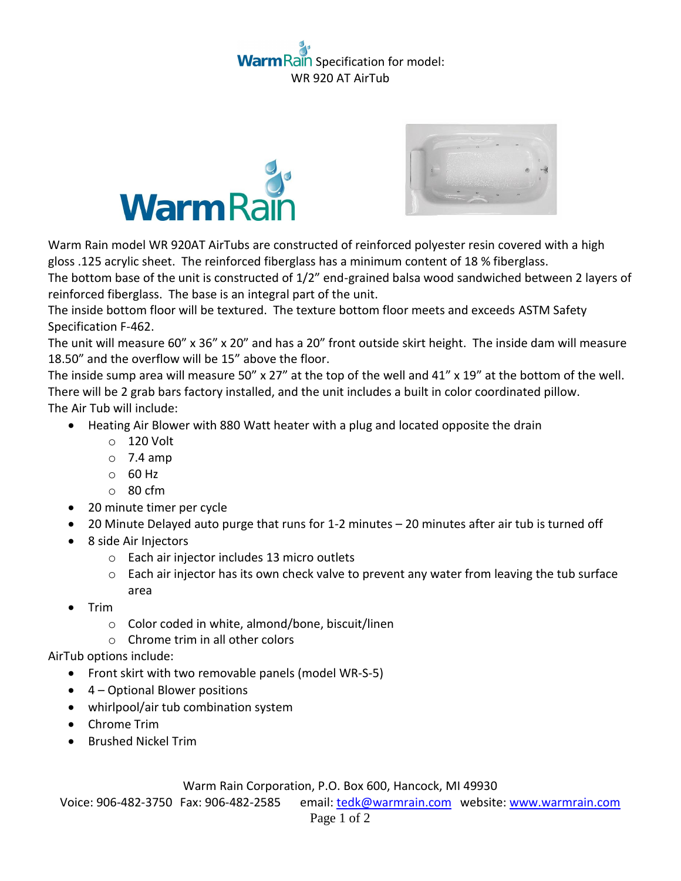## ain Specification for model: WR 920 AT AirTub





Warm Rain model WR 920AT AirTubs are constructed of reinforced polyester resin covered with a high gloss .125 acrylic sheet. The reinforced fiberglass has a minimum content of 18 % fiberglass.

The bottom base of the unit is constructed of 1/2" end-grained balsa wood sandwiched between 2 layers of reinforced fiberglass. The base is an integral part of the unit.

The inside bottom floor will be textured. The texture bottom floor meets and exceeds ASTM Safety Specification F-462.

The unit will measure 60" x 36" x 20" and has a 20" front outside skirt height. The inside dam will measure 18.50" and the overflow will be 15" above the floor.

The inside sump area will measure 50" x 27" at the top of the well and 41" x 19" at the bottom of the well. There will be 2 grab bars factory installed, and the unit includes a built in color coordinated pillow. The Air Tub will include:

- Heating Air Blower with 880 Watt heater with a plug and located opposite the drain
	- o 120 Volt
	- $\circ$  7.4 amp
	- o 60 Hz
	- o 80 cfm
- 20 minute timer per cycle
- 20 Minute Delayed auto purge that runs for 1-2 minutes 20 minutes after air tub is turned off
- 8 side Air Injectors
	- o Each air injector includes 13 micro outlets
	- $\circ$  Each air injector has its own check valve to prevent any water from leaving the tub surface area
- $\bullet$  Trim
	- o Color coded in white, almond/bone, biscuit/linen
	- o Chrome trim in all other colors

AirTub options include:

- Front skirt with two removable panels (model WR-S-5)
- 4 Optional Blower positions
- whirlpool/air tub combination system
- Chrome Trim
- **•** Brushed Nickel Trim

Warm Rain Corporation, P.O. Box 600, Hancock, MI 49930

Voice: 906-482-3750 Fax: 906-482-2585 email[: tedk@warmrain.com](mailto:tedk@warmrain.com) website: [www.warmrain.com](http://www.warmrain.com/)